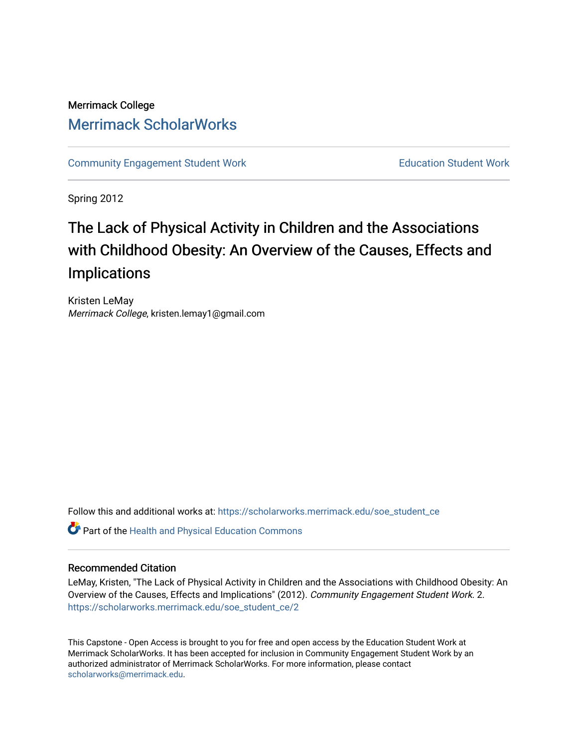# Merrimack College [Merrimack ScholarWorks](https://scholarworks.merrimack.edu/)

[Community Engagement Student Work](https://scholarworks.merrimack.edu/soe_student_ce) **Education Student Work** Education Student Work

Spring 2012

# The Lack of Physical Activity in Children and the Associations with Childhood Obesity: An Overview of the Causes, Effects and Implications

Kristen LeMay Merrimack College, kristen.lemay1@gmail.com

Follow this and additional works at: [https://scholarworks.merrimack.edu/soe\\_student\\_ce](https://scholarworks.merrimack.edu/soe_student_ce?utm_source=scholarworks.merrimack.edu%2Fsoe_student_ce%2F2&utm_medium=PDF&utm_campaign=PDFCoverPages) 

Part of the [Health and Physical Education Commons](http://network.bepress.com/hgg/discipline/1327?utm_source=scholarworks.merrimack.edu%2Fsoe_student_ce%2F2&utm_medium=PDF&utm_campaign=PDFCoverPages)

#### Recommended Citation

LeMay, Kristen, "The Lack of Physical Activity in Children and the Associations with Childhood Obesity: An Overview of the Causes, Effects and Implications" (2012). Community Engagement Student Work. 2. [https://scholarworks.merrimack.edu/soe\\_student\\_ce/2](https://scholarworks.merrimack.edu/soe_student_ce/2?utm_source=scholarworks.merrimack.edu%2Fsoe_student_ce%2F2&utm_medium=PDF&utm_campaign=PDFCoverPages) 

This Capstone - Open Access is brought to you for free and open access by the Education Student Work at Merrimack ScholarWorks. It has been accepted for inclusion in Community Engagement Student Work by an authorized administrator of Merrimack ScholarWorks. For more information, please contact [scholarworks@merrimack.edu](mailto:scholarworks@merrimack.edu).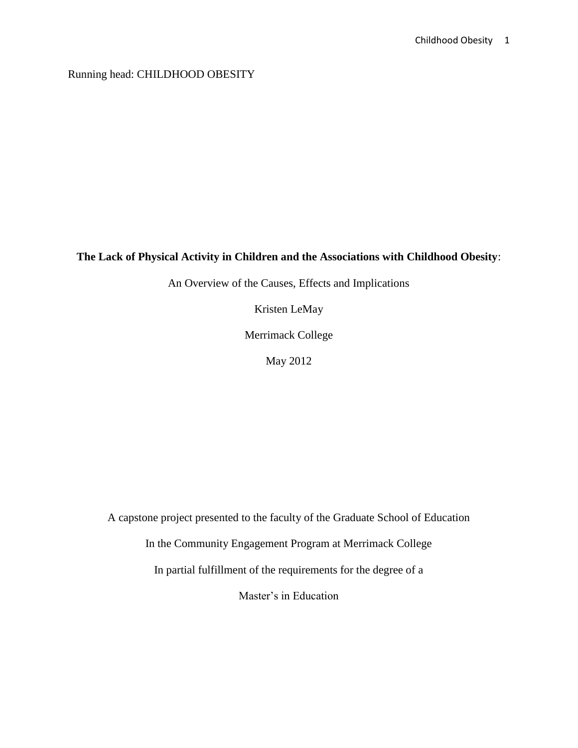# Running head: CHILDHOOD OBESITY

# **The Lack of Physical Activity in Children and the Associations with Childhood Obesity**:

An Overview of the Causes, Effects and Implications

Kristen LeMay

Merrimack College

May 2012

A capstone project presented to the faculty of the Graduate School of Education

In the Community Engagement Program at Merrimack College

In partial fulfillment of the requirements for the degree of a

Master's in Education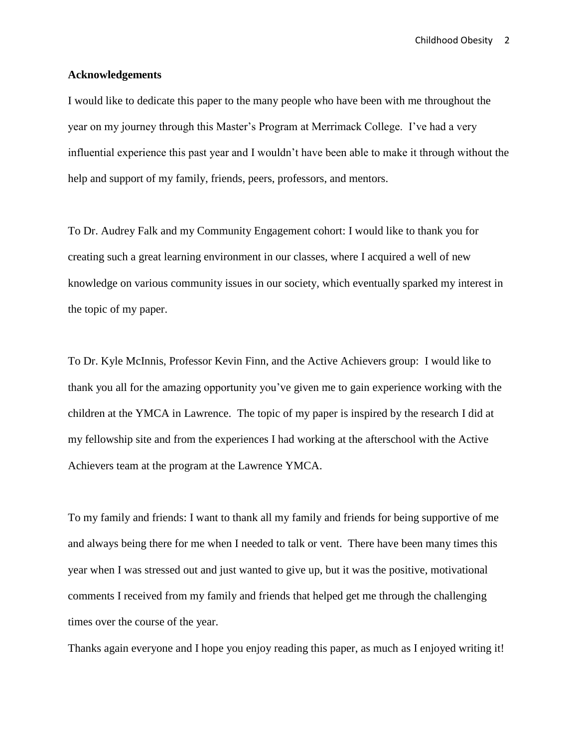#### **Acknowledgements**

I would like to dedicate this paper to the many people who have been with me throughout the year on my journey through this Master's Program at Merrimack College. I've had a very influential experience this past year and I wouldn't have been able to make it through without the help and support of my family, friends, peers, professors, and mentors.

To Dr. Audrey Falk and my Community Engagement cohort: I would like to thank you for creating such a great learning environment in our classes, where I acquired a well of new knowledge on various community issues in our society, which eventually sparked my interest in the topic of my paper.

To Dr. Kyle McInnis, Professor Kevin Finn, and the Active Achievers group: I would like to thank you all for the amazing opportunity you've given me to gain experience working with the children at the YMCA in Lawrence. The topic of my paper is inspired by the research I did at my fellowship site and from the experiences I had working at the afterschool with the Active Achievers team at the program at the Lawrence YMCA.

To my family and friends: I want to thank all my family and friends for being supportive of me and always being there for me when I needed to talk or vent. There have been many times this year when I was stressed out and just wanted to give up, but it was the positive, motivational comments I received from my family and friends that helped get me through the challenging times over the course of the year.

Thanks again everyone and I hope you enjoy reading this paper, as much as I enjoyed writing it!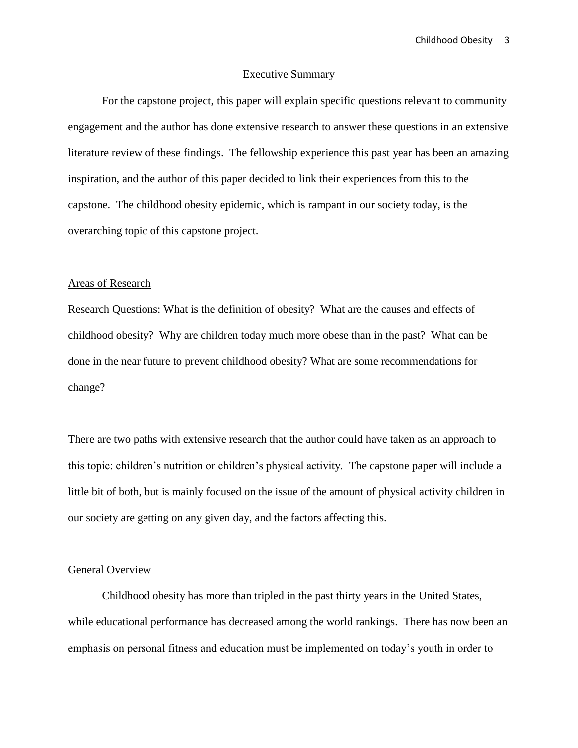#### Executive Summary

For the capstone project, this paper will explain specific questions relevant to community engagement and the author has done extensive research to answer these questions in an extensive literature review of these findings. The fellowship experience this past year has been an amazing inspiration, and the author of this paper decided to link their experiences from this to the capstone. The childhood obesity epidemic, which is rampant in our society today, is the overarching topic of this capstone project.

#### Areas of Research

Research Questions: What is the definition of obesity? What are the causes and effects of childhood obesity? Why are children today much more obese than in the past? What can be done in the near future to prevent childhood obesity? What are some recommendations for change?

There are two paths with extensive research that the author could have taken as an approach to this topic: children's nutrition or children's physical activity. The capstone paper will include a little bit of both, but is mainly focused on the issue of the amount of physical activity children in our society are getting on any given day, and the factors affecting this.

#### General Overview

Childhood obesity has more than tripled in the past thirty years in the United States, while educational performance has decreased among the world rankings. There has now been an emphasis on personal fitness and education must be implemented on today's youth in order to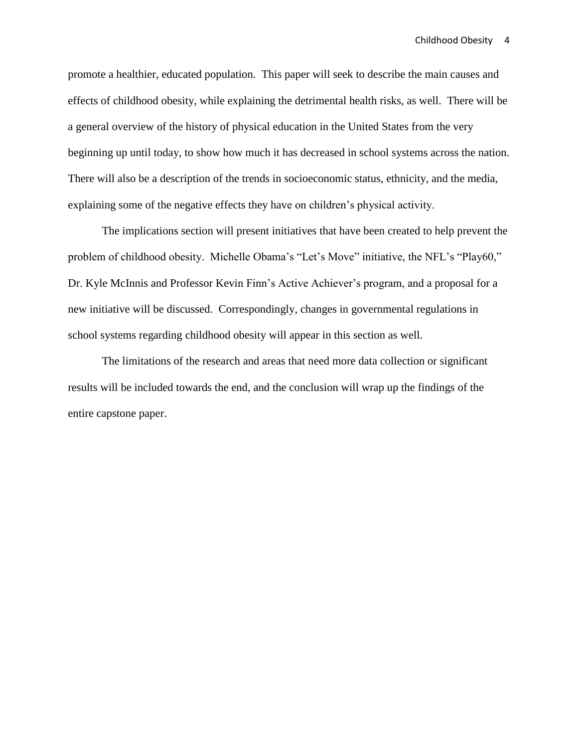promote a healthier, educated population. This paper will seek to describe the main causes and effects of childhood obesity, while explaining the detrimental health risks, as well. There will be a general overview of the history of physical education in the United States from the very beginning up until today, to show how much it has decreased in school systems across the nation. There will also be a description of the trends in socioeconomic status, ethnicity, and the media, explaining some of the negative effects they have on children's physical activity.

The implications section will present initiatives that have been created to help prevent the problem of childhood obesity. Michelle Obama's "Let's Move" initiative, the NFL's "Play60," Dr. Kyle McInnis and Professor Kevin Finn's Active Achiever's program, and a proposal for a new initiative will be discussed. Correspondingly, changes in governmental regulations in school systems regarding childhood obesity will appear in this section as well.

The limitations of the research and areas that need more data collection or significant results will be included towards the end, and the conclusion will wrap up the findings of the entire capstone paper.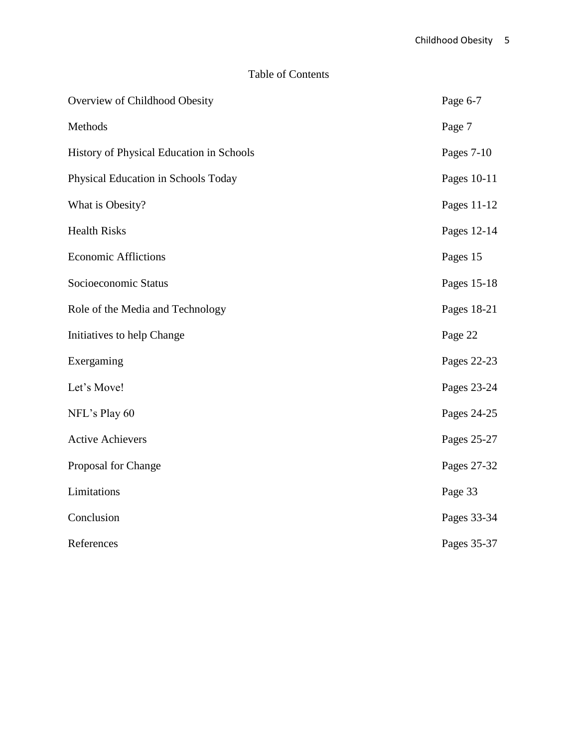| <b>Table of Contents</b> |
|--------------------------|

| Overview of Childhood Obesity            |             |
|------------------------------------------|-------------|
| Methods                                  | Page 7      |
| History of Physical Education in Schools | Pages 7-10  |
| Physical Education in Schools Today      | Pages 10-11 |
| What is Obesity?                         | Pages 11-12 |
| <b>Health Risks</b>                      | Pages 12-14 |
| <b>Economic Afflictions</b>              | Pages 15    |
| Socioeconomic Status                     | Pages 15-18 |
| Role of the Media and Technology         | Pages 18-21 |
| Initiatives to help Change               | Page 22     |
| Exergaming                               | Pages 22-23 |
| Let's Move!                              | Pages 23-24 |
| NFL's Play 60                            | Pages 24-25 |
| <b>Active Achievers</b>                  | Pages 25-27 |
| Proposal for Change                      | Pages 27-32 |
| Limitations                              | Page 33     |
| Conclusion                               | Pages 33-34 |
| References                               | Pages 35-37 |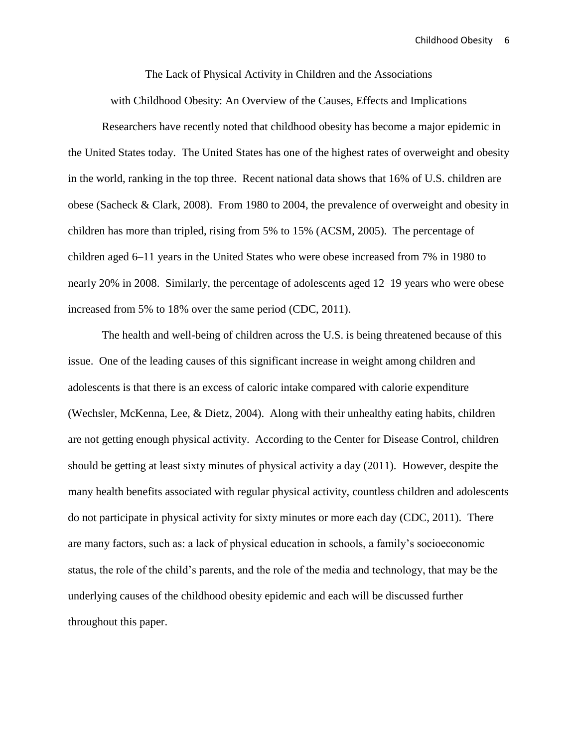The Lack of Physical Activity in Children and the Associations

with Childhood Obesity: An Overview of the Causes, Effects and Implications

Researchers have recently noted that childhood obesity has become a major epidemic in the United States today. The United States has one of the highest rates of overweight and obesity in the world, ranking in the top three. Recent national data shows that 16% of U.S. children are obese (Sacheck & Clark, 2008). From 1980 to 2004, the prevalence of overweight and obesity in children has more than tripled, rising from 5% to 15% (ACSM, 2005). The percentage of children aged 6–11 years in the United States who were obese increased from 7% in 1980 to nearly 20% in 2008. Similarly, the percentage of adolescents aged 12–19 years who were obese increased from 5% to 18% over the same period (CDC, 2011).

The health and well-being of children across the U.S. is being threatened because of this issue. One of the leading causes of this significant increase in weight among children and adolescents is that there is an excess of caloric intake compared with calorie expenditure (Wechsler, McKenna, Lee, & Dietz, 2004). Along with their unhealthy eating habits, children are not getting enough physical activity. According to the Center for Disease Control, children should be getting at least sixty minutes of physical activity a day (2011). However, despite the many health benefits associated with regular physical activity, countless children and adolescents do not participate in physical activity for sixty minutes or more each day (CDC, 2011). There are many factors, such as: a lack of physical education in schools, a family's socioeconomic status, the role of the child's parents, and the role of the media and technology, that may be the underlying causes of the childhood obesity epidemic and each will be discussed further throughout this paper.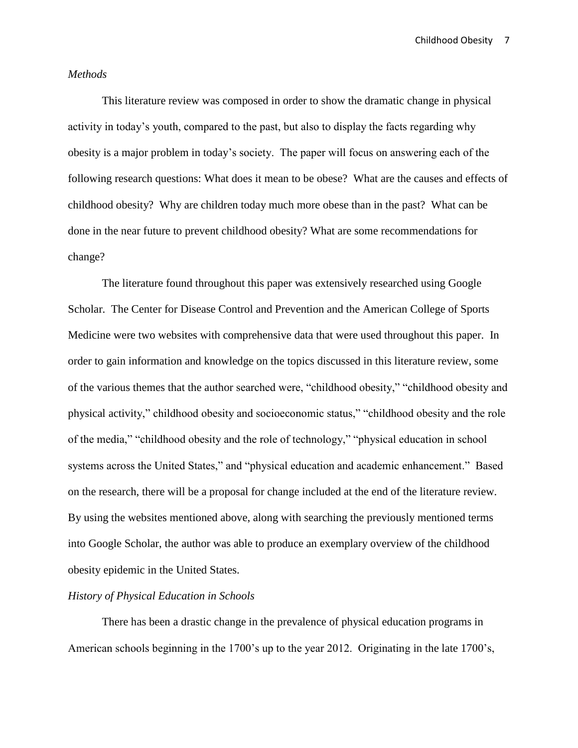#### *Methods*

This literature review was composed in order to show the dramatic change in physical activity in today's youth, compared to the past, but also to display the facts regarding why obesity is a major problem in today's society. The paper will focus on answering each of the following research questions: What does it mean to be obese? What are the causes and effects of childhood obesity? Why are children today much more obese than in the past? What can be done in the near future to prevent childhood obesity? What are some recommendations for change?

The literature found throughout this paper was extensively researched using Google Scholar. The Center for Disease Control and Prevention and the American College of Sports Medicine were two websites with comprehensive data that were used throughout this paper. In order to gain information and knowledge on the topics discussed in this literature review, some of the various themes that the author searched were, "childhood obesity," "childhood obesity and physical activity," childhood obesity and socioeconomic status," "childhood obesity and the role of the media," "childhood obesity and the role of technology," "physical education in school systems across the United States," and "physical education and academic enhancement." Based on the research, there will be a proposal for change included at the end of the literature review. By using the websites mentioned above, along with searching the previously mentioned terms into Google Scholar, the author was able to produce an exemplary overview of the childhood obesity epidemic in the United States.

#### *History of Physical Education in Schools*

There has been a drastic change in the prevalence of physical education programs in American schools beginning in the 1700's up to the year 2012. Originating in the late 1700's,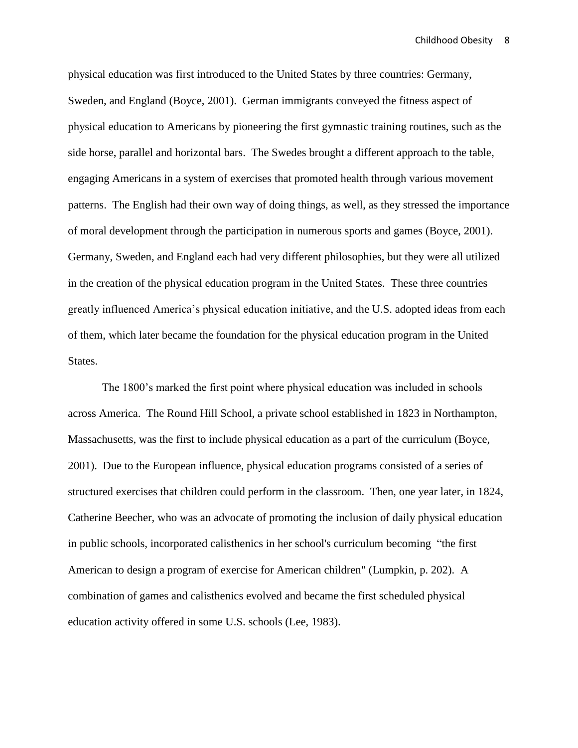physical education was first introduced to the United States by three countries: Germany, Sweden, and England (Boyce, 2001). German immigrants conveyed the fitness aspect of physical education to Americans by pioneering the first gymnastic training routines, such as the side horse, parallel and horizontal bars. The Swedes brought a different approach to the table, engaging Americans in a system of exercises that promoted health through various movement patterns. The English had their own way of doing things, as well, as they stressed the importance of moral development through the participation in numerous sports and games (Boyce, 2001). Germany, Sweden, and England each had very different philosophies, but they were all utilized in the creation of the physical education program in the United States. These three countries greatly influenced America's physical education initiative, and the U.S. adopted ideas from each of them, which later became the foundation for the physical education program in the United States.

The 1800's marked the first point where physical education was included in schools across America. The Round Hill School, a private school established in 1823 in Northampton, Massachusetts, was the first to include physical education as a part of the curriculum (Boyce, 2001). Due to the European influence, physical education programs consisted of a series of structured exercises that children could perform in the classroom. Then, one year later, in 1824, Catherine Beecher, who was an advocate of promoting the inclusion of daily physical education in public schools, incorporated calisthenics in her school's curriculum becoming "the first American to design a program of exercise for American children" (Lumpkin, p. 202). A combination of games and calisthenics evolved and became the first scheduled physical education activity offered in some U.S. schools (Lee, 1983).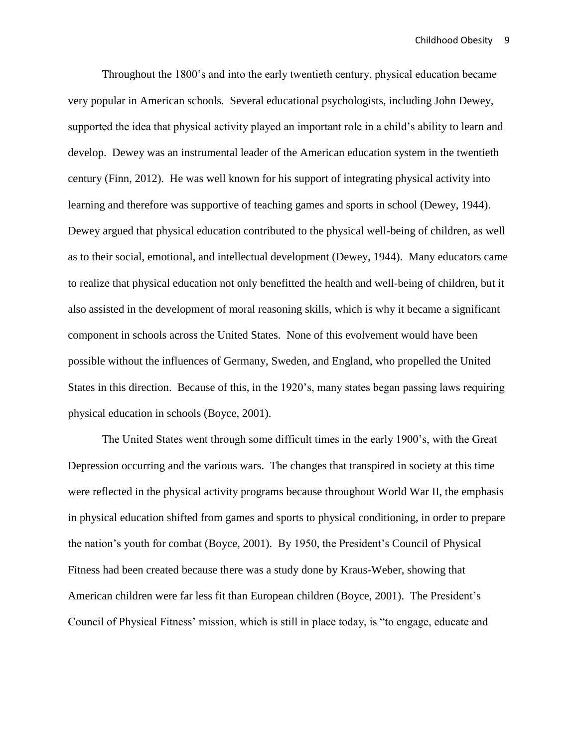Throughout the 1800's and into the early twentieth century, physical education became very popular in American schools. Several educational psychologists, including John Dewey, supported the idea that physical activity played an important role in a child's ability to learn and develop. Dewey was an instrumental leader of the American education system in the twentieth century (Finn, 2012). He was well known for his support of integrating physical activity into learning and therefore was supportive of teaching games and sports in school (Dewey, 1944). Dewey argued that physical education contributed to the physical well-being of children, as well as to their social, emotional, and intellectual development (Dewey, 1944). Many educators came to realize that physical education not only benefitted the health and well-being of children, but it also assisted in the development of moral reasoning skills, which is why it became a significant component in schools across the United States. None of this evolvement would have been possible without the influences of Germany, Sweden, and England, who propelled the United States in this direction. Because of this, in the 1920's, many states began passing laws requiring physical education in schools (Boyce, 2001).

The United States went through some difficult times in the early 1900's, with the Great Depression occurring and the various wars. The changes that transpired in society at this time were reflected in the physical activity programs because throughout World War II, the emphasis in physical education shifted from games and sports to physical conditioning, in order to prepare the nation's youth for combat (Boyce, 2001). By 1950, the President's Council of Physical Fitness had been created because there was a study done by Kraus-Weber, showing that American children were far less fit than European children (Boyce, 2001). The President's Council of Physical Fitness' mission, which is still in place today, is "to engage, educate and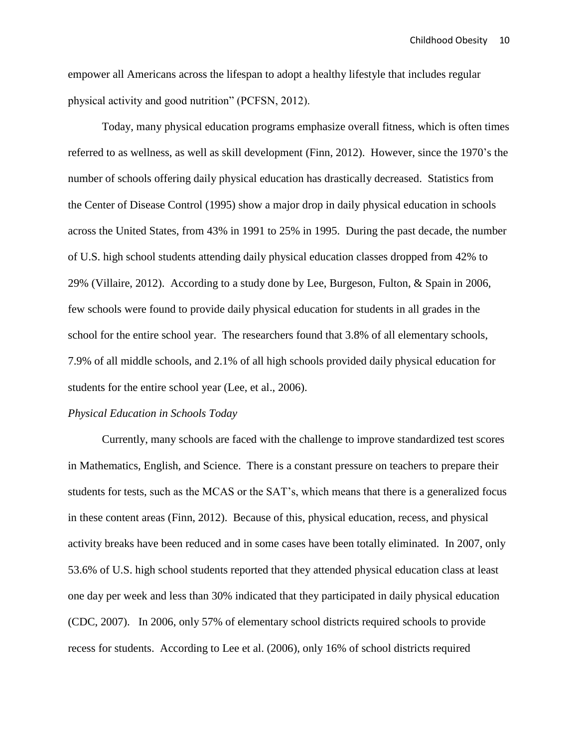empower all Americans across the lifespan to adopt a healthy lifestyle that includes regular physical activity and good nutrition" (PCFSN, 2012).

Today, many physical education programs emphasize overall fitness, which is often times referred to as wellness, as well as skill development (Finn, 2012). However, since the 1970's the number of schools offering daily physical education has drastically decreased. Statistics from the Center of Disease Control (1995) show a major drop in daily physical education in schools across the United States, from 43% in 1991 to 25% in 1995. During the past decade, the number of U.S. high school students attending daily physical education classes dropped from 42% to 29% (Villaire, 2012). According to a study done by Lee, Burgeson, Fulton, & Spain in 2006, few schools were found to provide daily physical education for students in all grades in the school for the entire school year. The researchers found that 3.8% of all elementary schools, 7.9% of all middle schools, and 2.1% of all high schools provided daily physical education for students for the entire school year (Lee, et al., 2006).

#### *Physical Education in Schools Today*

Currently, many schools are faced with the challenge to improve standardized test scores in Mathematics, English, and Science. There is a constant pressure on teachers to prepare their students for tests, such as the MCAS or the SAT's, which means that there is a generalized focus in these content areas (Finn, 2012). Because of this, physical education, recess, and physical activity breaks have been reduced and in some cases have been totally eliminated. In 2007, only 53.6% of U.S. high school students reported that they attended physical education class at least one day per week and less than 30% indicated that they participated in daily physical education (CDC, 2007). In 2006, only 57% of elementary school districts required schools to provide recess for students. According to Lee et al. (2006), only 16% of school districts required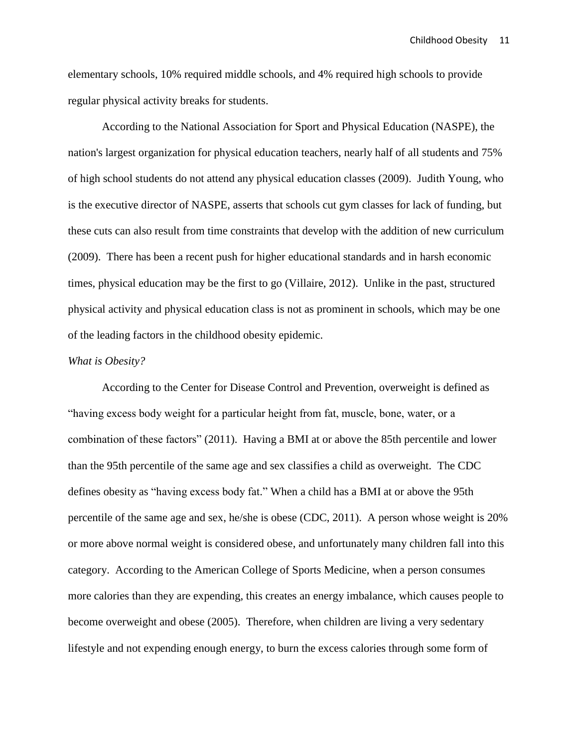elementary schools, 10% required middle schools, and 4% required high schools to provide regular physical activity breaks for students.

According to the National Association for Sport and Physical Education (NASPE), the nation's largest organization for physical education teachers, nearly half of all students and 75% of high school students do not attend any physical education classes (2009). Judith Young, who is the executive director of NASPE, asserts that schools cut gym classes for lack of funding, but these cuts can also result from time constraints that develop with the addition of new curriculum (2009). There has been a recent push for higher educational standards and in harsh economic times, physical education may be the first to go (Villaire, 2012). Unlike in the past, structured physical activity and physical education class is not as prominent in schools, which may be one of the leading factors in the childhood obesity epidemic.

#### *What is Obesity?*

According to the Center for Disease Control and Prevention, overweight is defined as "having excess body weight for a particular height from fat, muscle, bone, water, or a combination of these factors" (2011). Having a BMI at or above the 85th percentile and lower than the 95th percentile of the same age and sex classifies a child as overweight. The CDC defines obesity as "having excess body fat." When a child has a BMI at or above the 95th percentile of the same age and sex, he/she is obese [\(CDC,](http://www.cdc.gov/healthyyouth/obesity/facts.htm) 2011). A person whose weight is 20% or more above normal weight is considered obese, and unfortunately many children fall into this category. According to the American College of Sports Medicine, when a person consumes more calories than they are expending, this creates an energy imbalance, which causes people to become overweight and obese (2005). Therefore, when children are living a very sedentary lifestyle and not expending enough energy, to burn the excess calories through some form of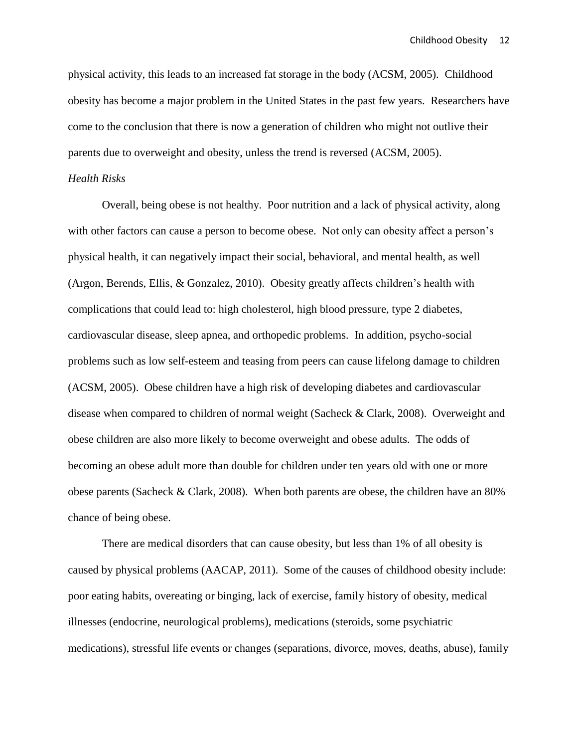physical activity, this leads to an increased fat storage in the body (ACSM, 2005). Childhood obesity has become a major problem in the United States in the past few years. Researchers have come to the conclusion that there is now a generation of children who might not outlive their parents due to overweight and obesity, unless the trend is reversed (ACSM, 2005).

#### *Health Risks*

Overall, being obese is not healthy. Poor nutrition and a lack of physical activity, along with other factors can cause a person to become obese. Not only can obesity affect a person's physical health, it can negatively impact their social, behavioral, and mental health, as well (Argon, Berends, Ellis, & Gonzalez, 2010). Obesity greatly affects children's health with complications that could lead to: high cholesterol, high blood pressure, type 2 diabetes, cardiovascular disease, sleep apnea, and orthopedic problems. In addition, psycho-social problems such as low self-esteem and teasing from peers can cause lifelong damage to children (ACSM, 2005). Obese children have a high risk of developing diabetes and cardiovascular disease when compared to children of normal weight (Sacheck & Clark, 2008). Overweight and obese children are also more likely to become overweight and obese adults. The odds of becoming an obese adult more than double for children under ten years old with one or more obese parents (Sacheck & Clark, 2008). When both parents are obese, the children have an 80% chance of being obese.

There are medical disorders that can cause obesity, but less than 1% of all obesity is caused by physical problems (AACAP, 2011). Some of the causes of childhood obesity include: poor eating habits, overeating or binging, lack of exercise, family history of obesity, medical illnesses (endocrine, neurological problems), medications (steroids, some psychiatric medications), stressful life events or changes (separations, divorce, moves, deaths, abuse), family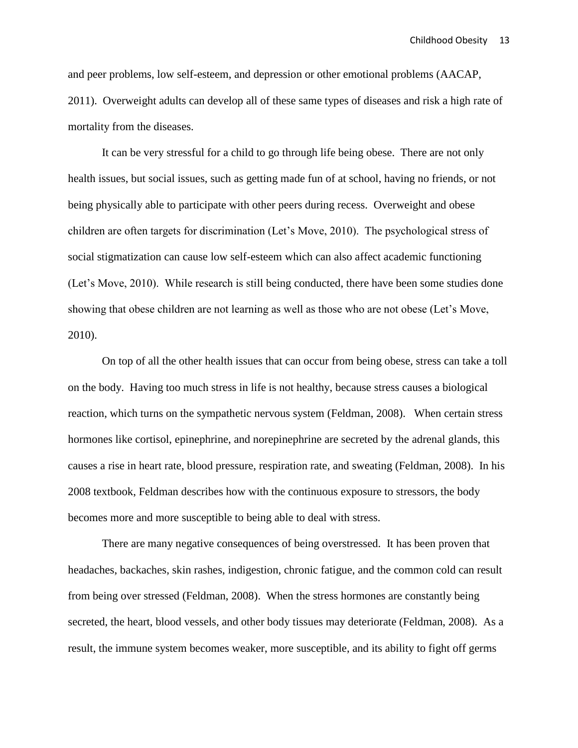and peer problems, low self-esteem, and depression or other emotional problems (AACAP, 2011). Overweight adults can develop all of these same types of diseases and risk a high rate of mortality from the diseases.

It can be very stressful for a child to go through life being obese. There are not only health issues, but social issues, such as getting made fun of at school, having no friends, or not being physically able to participate with other peers during recess. Overweight and obese children are often targets for discrimination (Let's Move, 2010). The psychological stress of social stigmatization can cause low self-esteem which can also affect academic functioning (Let's Move, 2010). While research is still being conducted, there have been some studies done showing that obese children are not learning as well as those who are not obese (Let's Move, 2010).

On top of all the other health issues that can occur from being obese, stress can take a toll on the body. Having too much stress in life is not healthy, because stress causes a biological reaction, which turns on the sympathetic nervous system (Feldman, 2008). When certain stress hormones like cortisol, epinephrine, and norepinephrine are secreted by the adrenal glands, this causes a rise in heart rate, blood pressure, respiration rate, and sweating (Feldman, 2008). In his 2008 textbook, Feldman describes how with the continuous exposure to stressors, the body becomes more and more susceptible to being able to deal with stress.

There are many negative consequences of being overstressed. It has been proven that headaches, backaches, skin rashes, indigestion, chronic fatigue, and the common cold can result from being over stressed (Feldman, 2008). When the stress hormones are constantly being secreted, the heart, blood vessels, and other body tissues may deteriorate (Feldman, 2008). As a result, the immune system becomes weaker, more susceptible, and its ability to fight off germs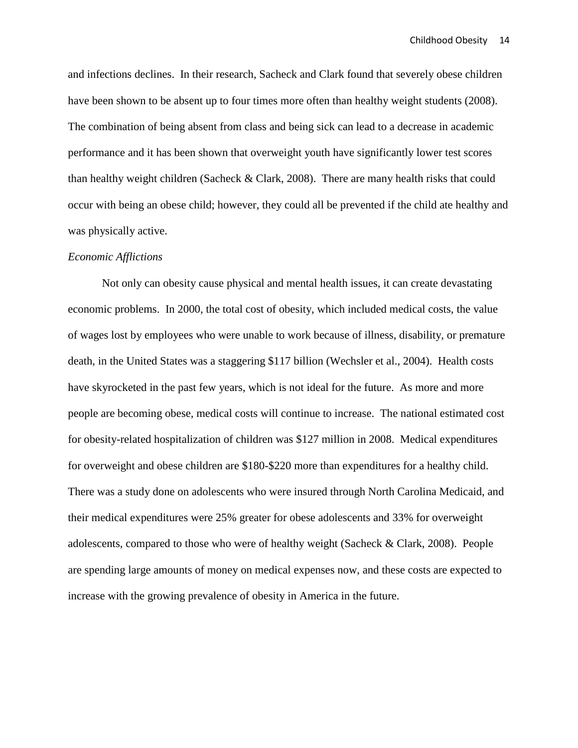and infections declines. In their research, Sacheck and Clark found that severely obese children have been shown to be absent up to four times more often than healthy weight students (2008). The combination of being absent from class and being sick can lead to a decrease in academic performance and it has been shown that overweight youth have significantly lower test scores than healthy weight children (Sacheck & Clark, 2008). There are many health risks that could occur with being an obese child; however, they could all be prevented if the child ate healthy and was physically active.

#### *Economic Afflictions*

Not only can obesity cause physical and mental health issues, it can create devastating economic problems. In 2000, the total cost of obesity, which included medical costs, the value of wages lost by employees who were unable to work because of illness, disability, or premature death, in the United States was a staggering \$117 billion (Wechsler et al., 2004). Health costs have skyrocketed in the past few years, which is not ideal for the future. As more and more people are becoming obese, medical costs will continue to increase. The national estimated cost for obesity-related hospitalization of children was \$127 million in 2008. Medical expenditures for overweight and obese children are \$180-\$220 more than expenditures for a healthy child. There was a study done on adolescents who were insured through North Carolina Medicaid, and their medical expenditures were 25% greater for obese adolescents and 33% for overweight adolescents, compared to those who were of healthy weight (Sacheck & Clark, 2008). People are spending large amounts of money on medical expenses now, and these costs are expected to increase with the growing prevalence of obesity in America in the future.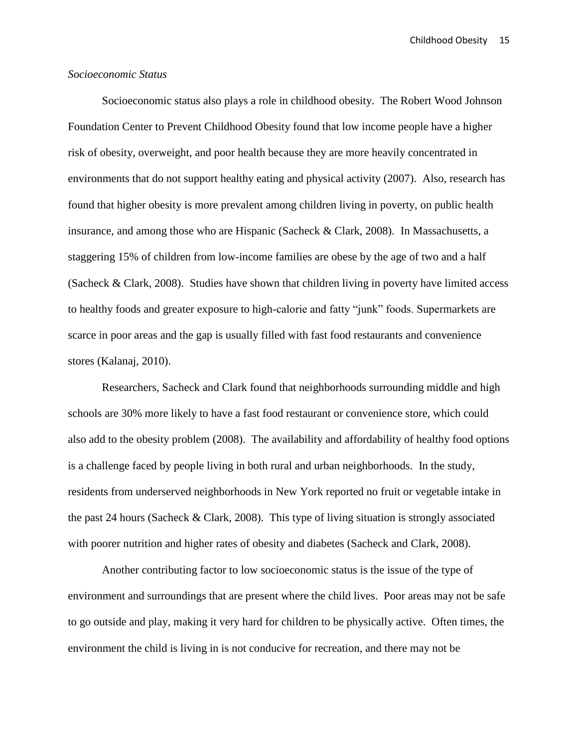#### *Socioeconomic Status*

Socioeconomic status also plays a role in childhood obesity. The Robert Wood Johnson Foundation Center to Prevent Childhood Obesity found that low income people have a higher risk of obesity, overweight, and poor health because they are more heavily concentrated in environments that do not support healthy eating and physical activity (2007). Also, research has found that higher obesity is more prevalent among children living in poverty, on public health insurance, and among those who are Hispanic (Sacheck & Clark, 2008). In Massachusetts, a staggering 15% of children from low-income families are obese by the age of two and a half (Sacheck & Clark, 2008). Studies have shown that children living in poverty have limited access to healthy foods and greater exposure to high-calorie and fatty "junk" foods. Supermarkets are scarce in poor areas and the gap is usually filled with fast food restaurants and convenience stores (Kalanaj, 2010).

Researchers, Sacheck and Clark found that neighborhoods surrounding middle and high schools are 30% more likely to have a fast food restaurant or convenience store, which could also add to the obesity problem (2008). The availability and affordability of healthy food options is a challenge faced by people living in both rural and urban neighborhoods. In the study, residents from underserved neighborhoods in New York reported no fruit or vegetable intake in the past 24 hours (Sacheck & Clark, 2008). This type of living situation is strongly associated with poorer nutrition and higher rates of obesity and diabetes (Sacheck and Clark, 2008).

Another contributing factor to low socioeconomic status is the issue of the type of environment and surroundings that are present where the child lives. Poor areas may not be safe to go outside and play, making it very hard for children to be physically active. Often times, the environment the child is living in is not conducive for recreation, and there may not be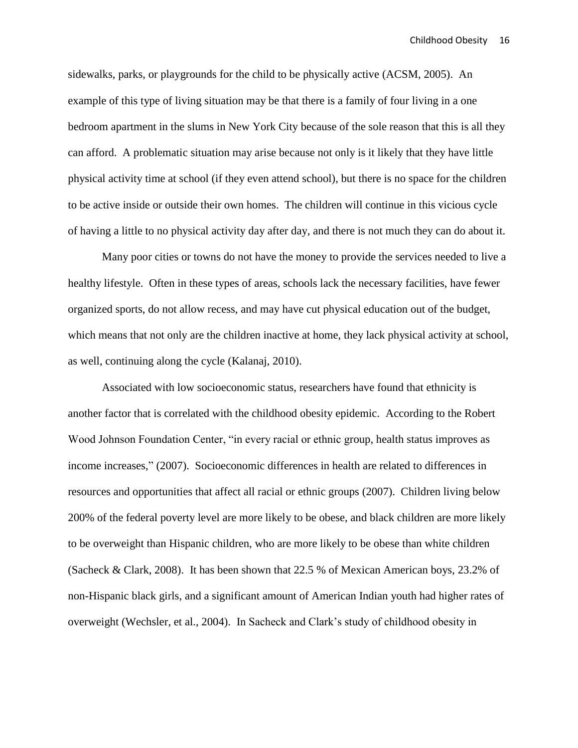sidewalks, parks, or playgrounds for the child to be physically active (ACSM, 2005). An example of this type of living situation may be that there is a family of four living in a one bedroom apartment in the slums in New York City because of the sole reason that this is all they can afford. A problematic situation may arise because not only is it likely that they have little physical activity time at school (if they even attend school), but there is no space for the children to be active inside or outside their own homes. The children will continue in this vicious cycle of having a little to no physical activity day after day, and there is not much they can do about it.

Many poor cities or towns do not have the money to provide the services needed to live a healthy lifestyle. Often in these types of areas, schools lack the necessary facilities, have fewer organized sports, do not allow recess, and may have cut physical education out of the budget, which means that not only are the children inactive at home, they lack physical activity at school, as well, continuing along the cycle (Kalanaj, 2010).

Associated with low socioeconomic status, researchers have found that ethnicity is another factor that is correlated with the childhood obesity epidemic. According to the Robert Wood Johnson Foundation Center, "in every racial or ethnic group, health status improves as income increases," (2007). Socioeconomic differences in health are related to differences in resources and opportunities that affect all racial or ethnic groups (2007). Children living below 200% of the federal poverty level are more likely to be obese, and black children are more likely to be overweight than Hispanic children, who are more likely to be obese than white children (Sacheck & Clark, 2008). It has been shown that 22.5 % of Mexican American boys, 23.2% of non-Hispanic black girls, and a significant amount of American Indian youth had higher rates of overweight (Wechsler, et al., 2004). In Sacheck and Clark's study of childhood obesity in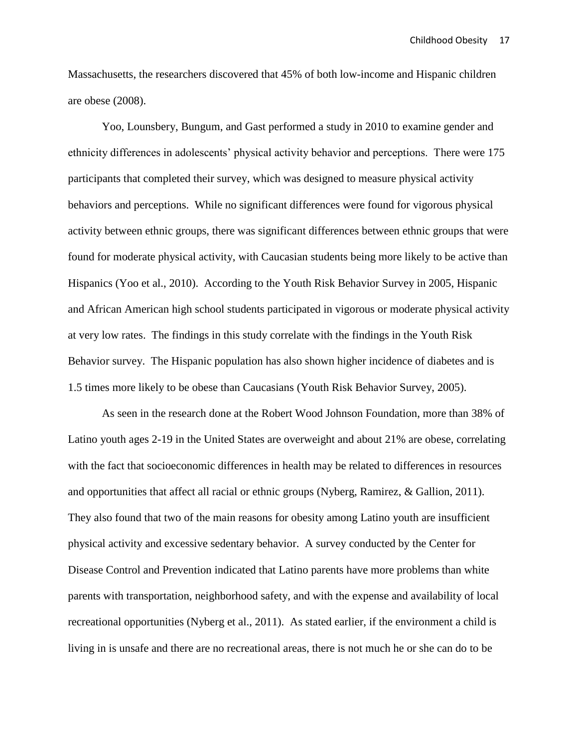Massachusetts, the researchers discovered that 45% of both low-income and Hispanic children are obese (2008).

Yoo, Lounsbery, Bungum, and Gast performed a study in 2010 to examine gender and ethnicity differences in adolescents' physical activity behavior and perceptions. There were 175 participants that completed their survey, which was designed to measure physical activity behaviors and perceptions. While no significant differences were found for vigorous physical activity between ethnic groups, there was significant differences between ethnic groups that were found for moderate physical activity, with Caucasian students being more likely to be active than Hispanics (Yoo et al., 2010). According to the Youth Risk Behavior Survey in 2005, Hispanic and African American high school students participated in vigorous or moderate physical activity at very low rates. The findings in this study correlate with the findings in the Youth Risk Behavior survey. The Hispanic population has also shown higher incidence of diabetes and is 1.5 times more likely to be obese than Caucasians (Youth Risk Behavior Survey, 2005).

As seen in the research done at the Robert Wood Johnson Foundation, more than 38% of Latino youth ages 2-19 in the United States are overweight and about 21% are obese, correlating with the fact that socioeconomic differences in health may be related to differences in resources and opportunities that affect all racial or ethnic groups (Nyberg, Ramirez, & Gallion, 2011). They also found that two of the main reasons for obesity among Latino youth are insufficient physical activity and excessive sedentary behavior. A survey conducted by the Center for Disease Control and Prevention indicated that Latino parents have more problems than white parents with transportation, neighborhood safety, and with the expense and availability of local recreational opportunities (Nyberg et al., 2011). As stated earlier, if the environment a child is living in is unsafe and there are no recreational areas, there is not much he or she can do to be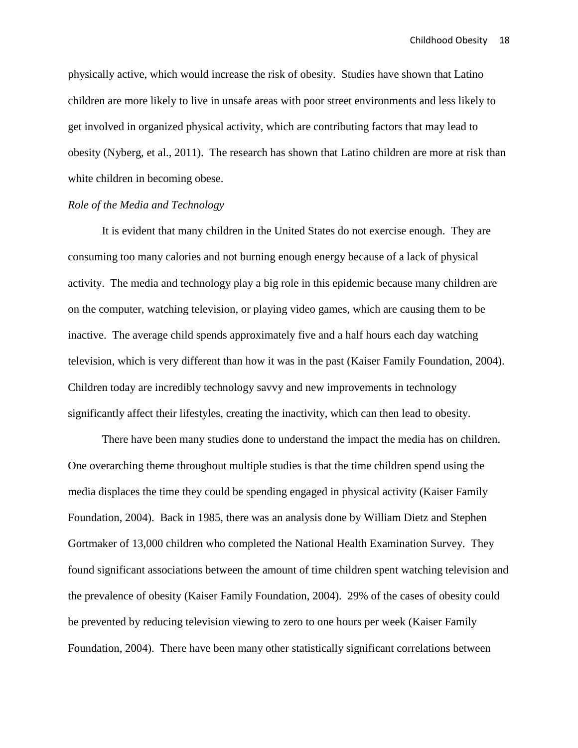physically active, which would increase the risk of obesity. Studies have shown that Latino children are more likely to live in unsafe areas with poor street environments and less likely to get involved in organized physical activity, which are contributing factors that may lead to obesity (Nyberg, et al., 2011). The research has shown that Latino children are more at risk than white children in becoming obese.

### *Role of the Media and Technology*

It is evident that many children in the United States do not exercise enough. They are consuming too many calories and not burning enough energy because of a lack of physical activity. The media and technology play a big role in this epidemic because many children are on the computer, watching television, or playing video games, which are causing them to be inactive. The average child spends approximately five and a half hours each day watching television, which is very different than how it was in the past (Kaiser Family Foundation, 2004). Children today are incredibly technology savvy and new improvements in technology significantly affect their lifestyles, creating the inactivity, which can then lead to obesity.

There have been many studies done to understand the impact the media has on children. One overarching theme throughout multiple studies is that the time children spend using the media displaces the time they could be spending engaged in physical activity (Kaiser Family Foundation, 2004). Back in 1985, there was an analysis done by William Dietz and Stephen Gortmaker of 13,000 children who completed the National Health Examination Survey. They found significant associations between the amount of time children spent watching television and the prevalence of obesity (Kaiser Family Foundation, 2004). 29% of the cases of obesity could be prevented by reducing television viewing to zero to one hours per week (Kaiser Family Foundation, 2004). There have been many other statistically significant correlations between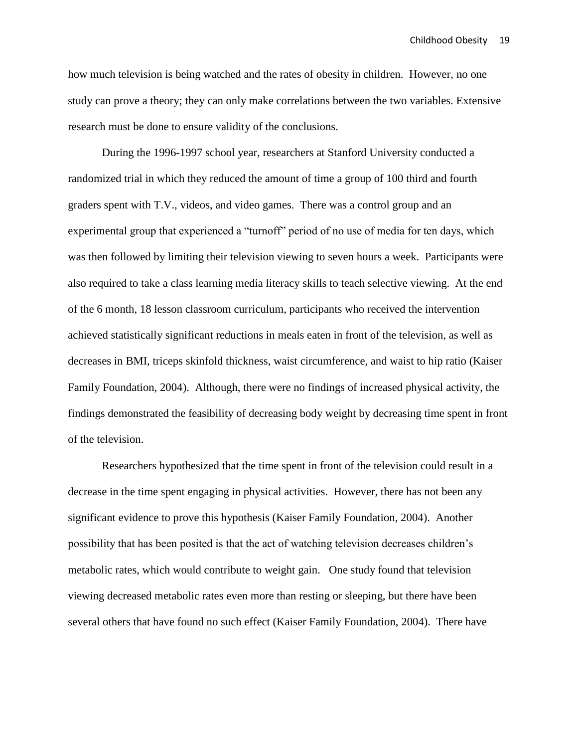how much television is being watched and the rates of obesity in children. However, no one study can prove a theory; they can only make correlations between the two variables. Extensive research must be done to ensure validity of the conclusions.

During the 1996-1997 school year, researchers at Stanford University conducted a randomized trial in which they reduced the amount of time a group of 100 third and fourth graders spent with T.V., videos, and video games. There was a control group and an experimental group that experienced a "turnoff" period of no use of media for ten days, which was then followed by limiting their television viewing to seven hours a week. Participants were also required to take a class learning media literacy skills to teach selective viewing. At the end of the 6 month, 18 lesson classroom curriculum, participants who received the intervention achieved statistically significant reductions in meals eaten in front of the television, as well as decreases in BMI, triceps skinfold thickness, waist circumference, and waist to hip ratio (Kaiser Family Foundation, 2004). Although, there were no findings of increased physical activity, the findings demonstrated the feasibility of decreasing body weight by decreasing time spent in front of the television.

Researchers hypothesized that the time spent in front of the television could result in a decrease in the time spent engaging in physical activities. However, there has not been any significant evidence to prove this hypothesis (Kaiser Family Foundation, 2004). Another possibility that has been posited is that the act of watching television decreases children's metabolic rates, which would contribute to weight gain. One study found that television viewing decreased metabolic rates even more than resting or sleeping, but there have been several others that have found no such effect (Kaiser Family Foundation, 2004). There have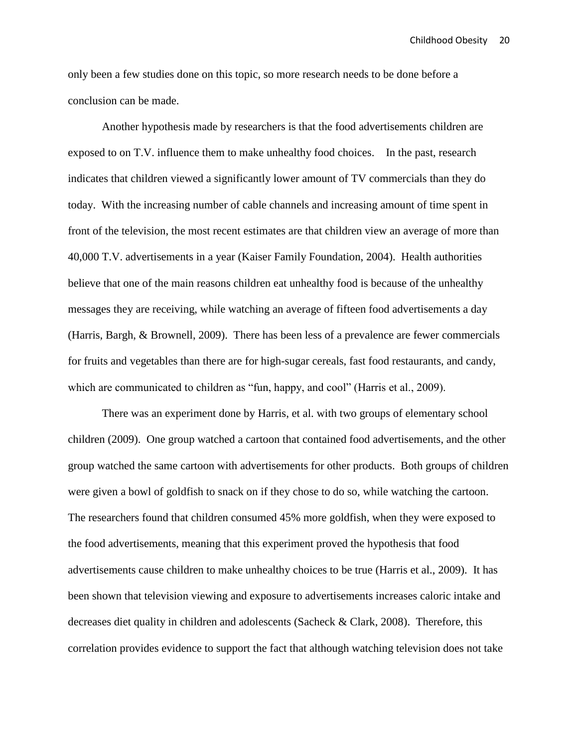only been a few studies done on this topic, so more research needs to be done before a conclusion can be made.

Another hypothesis made by researchers is that the food advertisements children are exposed to on T.V. influence them to make unhealthy food choices. In the past, research indicates that children viewed a significantly lower amount of TV commercials than they do today. With the increasing number of cable channels and increasing amount of time spent in front of the television, the most recent estimates are that children view an average of more than 40,000 T.V. advertisements in a year (Kaiser Family Foundation, 2004). Health authorities believe that one of the main reasons children eat unhealthy food is because of the unhealthy messages they are receiving, while watching an average of fifteen food advertisements a day (Harris, Bargh, & Brownell, 2009). There has been less of a prevalence are fewer commercials for fruits and vegetables than there are for high-sugar cereals, fast food restaurants, and candy, which are communicated to children as "fun, happy, and cool" (Harris et al., 2009).

There was an experiment done by Harris, et al. with two groups of elementary school children (2009). One group watched a cartoon that contained food advertisements, and the other group watched the same cartoon with advertisements for other products. Both groups of children were given a bowl of goldfish to snack on if they chose to do so, while watching the cartoon. The researchers found that children consumed 45% more goldfish, when they were exposed to the food advertisements, meaning that this experiment proved the hypothesis that food advertisements cause children to make unhealthy choices to be true (Harris et al., 2009). It has been shown that television viewing and exposure to advertisements increases caloric intake and decreases diet quality in children and adolescents (Sacheck & Clark, 2008). Therefore, this correlation provides evidence to support the fact that although watching television does not take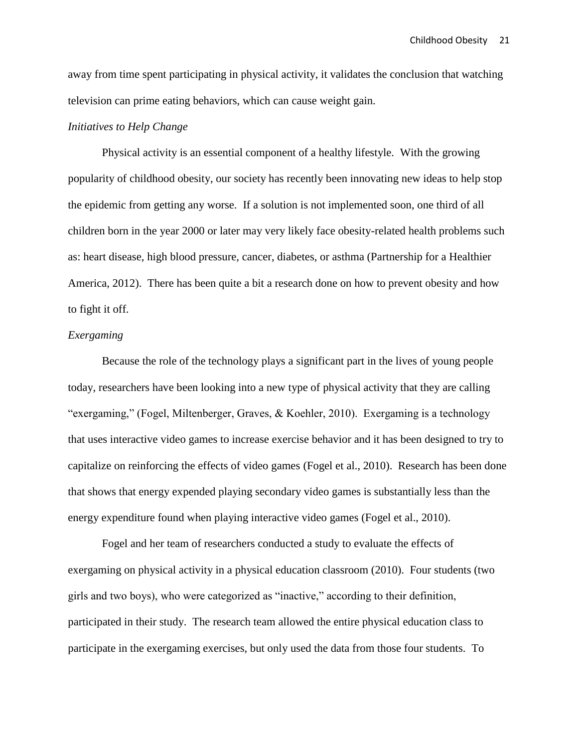away from time spent participating in physical activity, it validates the conclusion that watching television can prime eating behaviors, which can cause weight gain.

#### *Initiatives to Help Change*

Physical activity is an essential component of a healthy lifestyle. With the growing popularity of childhood obesity, our society has recently been innovating new ideas to help stop the epidemic from getting any worse. If a solution is not implemented soon, one third of all children born in the year 2000 or later may very likely face obesity-related health problems such as: heart disease, high blood pressure, cancer, diabetes, or asthma (Partnership for a Healthier America, 2012). There has been quite a bit a research done on how to prevent obesity and how to fight it off.

#### *Exergaming*

Because the role of the technology plays a significant part in the lives of young people today, researchers have been looking into a new type of physical activity that they are calling "exergaming," (Fogel, Miltenberger, Graves, & Koehler, 2010). Exergaming is a technology that uses interactive video games to increase exercise behavior and it has been designed to try to capitalize on reinforcing the effects of video games (Fogel et al., 2010). Research has been done that shows that energy expended playing secondary video games is substantially less than the energy expenditure found when playing interactive video games (Fogel et al., 2010).

Fogel and her team of researchers conducted a study to evaluate the effects of exergaming on physical activity in a physical education classroom (2010). Four students (two girls and two boys), who were categorized as "inactive," according to their definition, participated in their study. The research team allowed the entire physical education class to participate in the exergaming exercises, but only used the data from those four students. To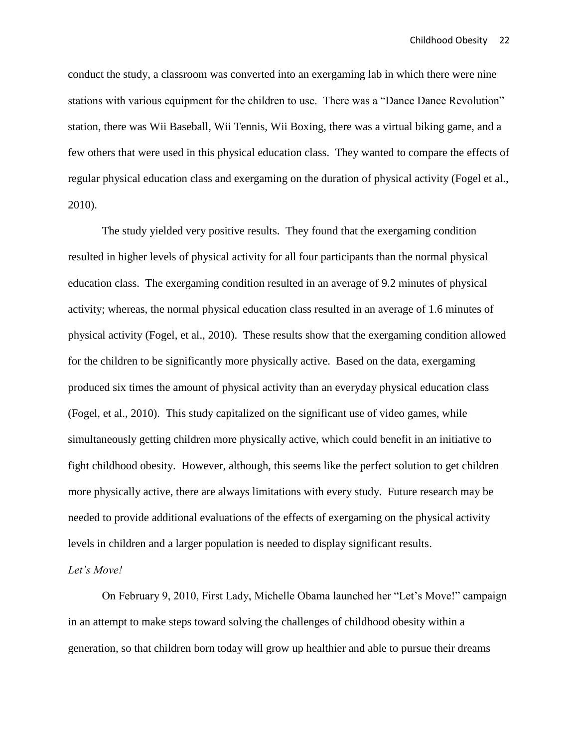conduct the study, a classroom was converted into an exergaming lab in which there were nine stations with various equipment for the children to use. There was a "Dance Dance Revolution" station, there was Wii Baseball, Wii Tennis, Wii Boxing, there was a virtual biking game, and a few others that were used in this physical education class. They wanted to compare the effects of regular physical education class and exergaming on the duration of physical activity (Fogel et al., 2010).

The study yielded very positive results. They found that the exergaming condition resulted in higher levels of physical activity for all four participants than the normal physical education class. The exergaming condition resulted in an average of 9.2 minutes of physical activity; whereas, the normal physical education class resulted in an average of 1.6 minutes of physical activity (Fogel, et al., 2010). These results show that the exergaming condition allowed for the children to be significantly more physically active. Based on the data, exergaming produced six times the amount of physical activity than an everyday physical education class (Fogel, et al., 2010). This study capitalized on the significant use of video games, while simultaneously getting children more physically active, which could benefit in an initiative to fight childhood obesity. However, although, this seems like the perfect solution to get children more physically active, there are always limitations with every study. Future research may be needed to provide additional evaluations of the effects of exergaming on the physical activity levels in children and a larger population is needed to display significant results.

#### *Let's Move!*

On February 9, 2010, First Lady, Michelle Obama launched her "Let's Move!" campaign in an attempt to make steps toward solving the challenges of childhood obesity within a generation, so that children born today will grow up healthier and able to pursue their dreams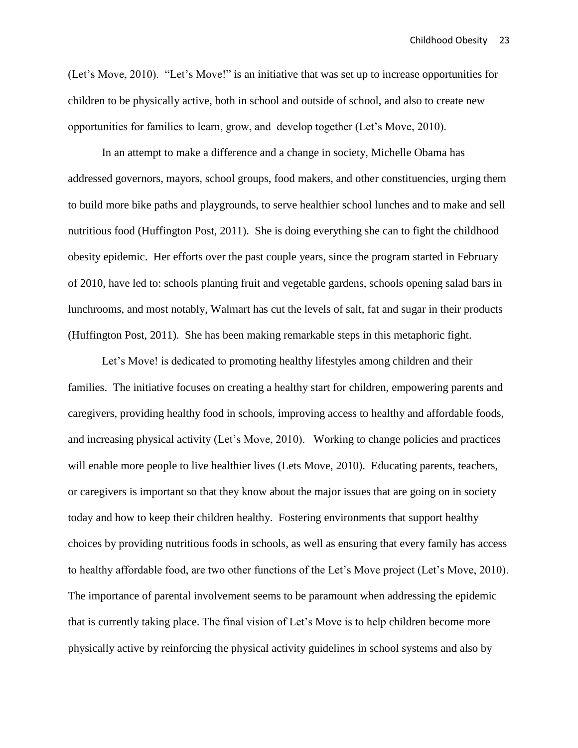(Let's Move, 2010). "Let's Move!" is an initiative that was set up to increase opportunities for children to be physically active, both in school and outside of school, and also to create new opportunities for families to learn, grow, and develop together (Let's Move, 2010).

In an attempt to make a difference and a change in society, Michelle Obama has addressed governors, mayors, school groups, food makers, and other constituencies, urging them to build more bike paths and playgrounds, to serve healthier school lunches and to make and sell nutritious food (Huffington Post, 2011). She is doing everything she can to fight the childhood obesity epidemic. Her efforts over the past couple years, since the program started in February of 2010, have led to: schools planting fruit and vegetable gardens, schools opening salad bars in lunchrooms, and most notably, Walmart has cut the levels of salt, fat and sugar in their products (Huffington Post, 2011). She has been making remarkable steps in this metaphoric fight.

Let's Move! is dedicated to promoting healthy lifestyles among children and their families. The initiative focuses on creating a healthy start for children, empowering parents and caregivers, providing healthy food in schools, improving access to healthy and affordable foods, and increasing physical activity (Let's Move, 2010). Working to change policies and practices will enable more people to live healthier lives (Lets Move, 2010). Educating parents, teachers, or caregivers is important so that they know about the major issues that are going on in society today and how to keep their children healthy. Fostering environments that support healthy choices by providing nutritious foods in schools, as well as ensuring that every family has access to healthy affordable food, are two other functions of the Let's Move project (Let's Move, 2010). The importance of parental involvement seems to be paramount when addressing the epidemic that is currently taking place. The final vision of Let's Move is to help children become more physically active by reinforcing the physical activity guidelines in school systems and also by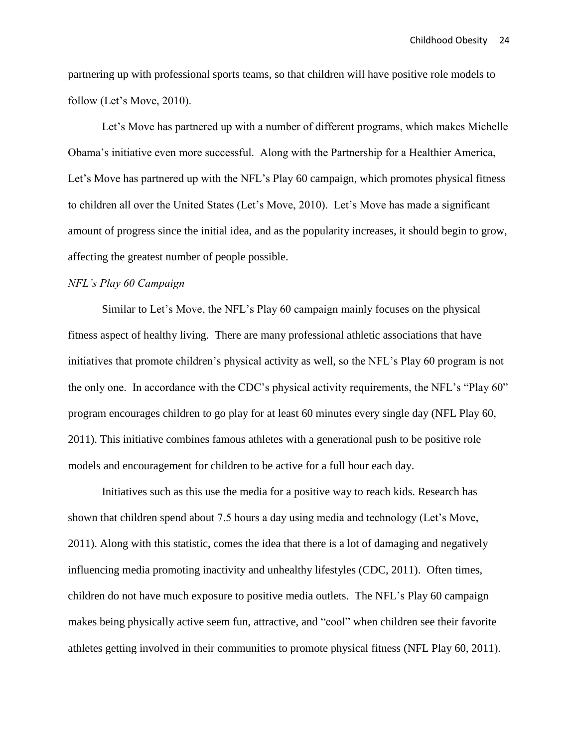partnering up with professional sports teams, so that children will have positive role models to follow (Let's Move, 2010).

Let's Move has partnered up with a number of different programs, which makes Michelle Obama's initiative even more successful. Along with the Partnership for a Healthier America, Let's Move has partnered up with the NFL's Play 60 campaign, which promotes physical fitness to children all over the United States (Let's Move, 2010). Let's Move has made a significant amount of progress since the initial idea, and as the popularity increases, it should begin to grow, affecting the greatest number of people possible.

#### *NFL's Play 60 Campaign*

Similar to Let's Move, the NFL's Play 60 campaign mainly focuses on the physical fitness aspect of healthy living. There are many professional athletic associations that have initiatives that promote children's physical activity as well, so the NFL's Play 60 program is not the only one. In accordance with the CDC's physical activity requirements, the NFL's "Play 60" program encourages children to go play for at least 60 minutes every single day (NFL Play 60, 2011). This initiative combines famous athletes with a generational push to be positive role models and encouragement for children to be active for a full hour each day.

Initiatives such as this use the media for a positive way to reach kids. Research has shown that children spend about 7.5 hours a day using media and technology (Let's Move, 2011). Along with this statistic, comes the idea that there is a lot of damaging and negatively influencing media promoting inactivity and unhealthy lifestyles (CDC, 2011). Often times, children do not have much exposure to positive media outlets. The NFL's Play 60 campaign makes being physically active seem fun, attractive, and "cool" when children see their favorite athletes getting involved in their communities to promote physical fitness (NFL Play 60, 2011).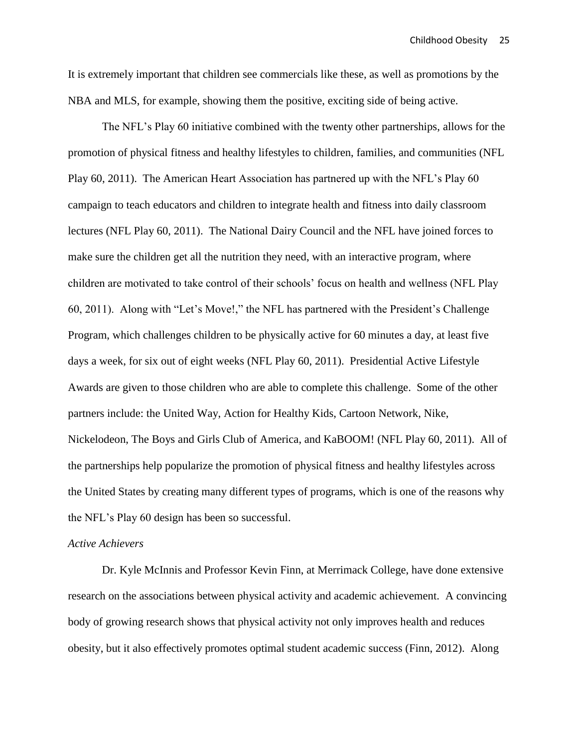It is extremely important that children see commercials like these, as well as promotions by the NBA and MLS, for example, showing them the positive, exciting side of being active.

The NFL's Play 60 initiative combined with the twenty other partnerships, allows for the promotion of physical fitness and healthy lifestyles to children, families, and communities (NFL Play 60, 2011). The American Heart Association has partnered up with the NFL's Play 60 campaign to teach educators and children to integrate health and fitness into daily classroom lectures (NFL Play 60, 2011). The National Dairy Council and the NFL have joined forces to make sure the children get all the nutrition they need, with an interactive program, where children are motivated to take control of their schools' focus on health and wellness (NFL Play 60, 2011). Along with "Let's Move!," the NFL has partnered with the President's Challenge Program, which challenges children to be physically active for 60 minutes a day, at least five days a week, for six out of eight weeks (NFL Play 60, 2011). Presidential Active Lifestyle Awards are given to those children who are able to complete this challenge. Some of the other partners include: the United Way, Action for Healthy Kids, Cartoon Network, Nike, Nickelodeon, The Boys and Girls Club of America, and KaBOOM! (NFL Play 60, 2011). All of the partnerships help popularize the promotion of physical fitness and healthy lifestyles across the United States by creating many different types of programs, which is one of the reasons why the NFL's Play 60 design has been so successful.

#### *Active Achievers*

Dr. Kyle McInnis and Professor Kevin Finn, at Merrimack College, have done extensive research on the associations between physical activity and academic achievement. A convincing body of growing research shows that physical activity not only improves health and reduces obesity, but it also effectively promotes optimal student academic success (Finn, 2012). Along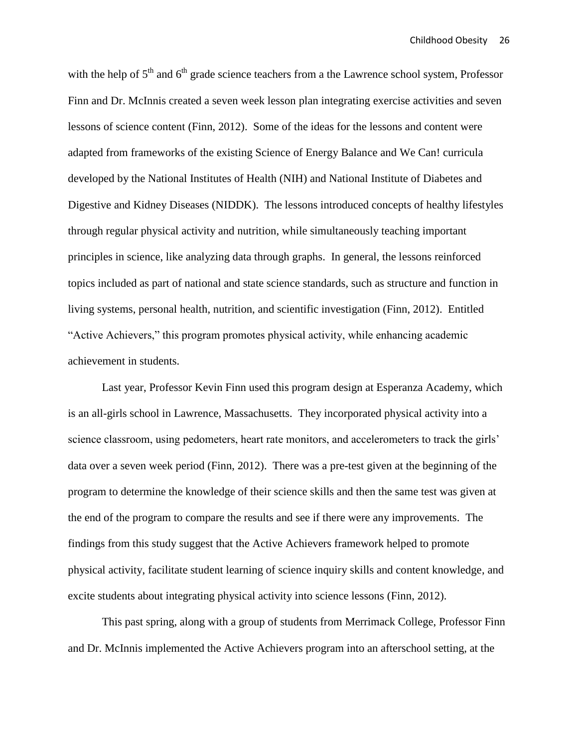with the help of  $5<sup>th</sup>$  and  $6<sup>th</sup>$  grade science teachers from a the Lawrence school system, Professor Finn and Dr. McInnis created a seven week lesson plan integrating exercise activities and seven lessons of science content (Finn, 2012). Some of the ideas for the lessons and content were adapted from frameworks of the existing Science of Energy Balance and We Can! curricula developed by the National Institutes of Health (NIH) and National Institute of Diabetes and Digestive and Kidney Diseases (NIDDK). The lessons introduced concepts of healthy lifestyles through regular physical activity and nutrition, while simultaneously teaching important principles in science, like analyzing data through graphs. In general, the lessons reinforced topics included as part of national and state science standards, such as structure and function in living systems, personal health, nutrition, and scientific investigation (Finn, 2012). Entitled "Active Achievers," this program promotes physical activity, while enhancing academic achievement in students.

Last year, Professor Kevin Finn used this program design at Esperanza Academy, which is an all-girls school in Lawrence, Massachusetts. They incorporated physical activity into a science classroom, using pedometers, heart rate monitors, and accelerometers to track the girls' data over a seven week period (Finn, 2012). There was a pre-test given at the beginning of the program to determine the knowledge of their science skills and then the same test was given at the end of the program to compare the results and see if there were any improvements. The findings from this study suggest that the Active Achievers framework helped to promote physical activity, facilitate student learning of science inquiry skills and content knowledge, and excite students about integrating physical activity into science lessons (Finn, 2012).

This past spring, along with a group of students from Merrimack College, Professor Finn and Dr. McInnis implemented the Active Achievers program into an afterschool setting, at the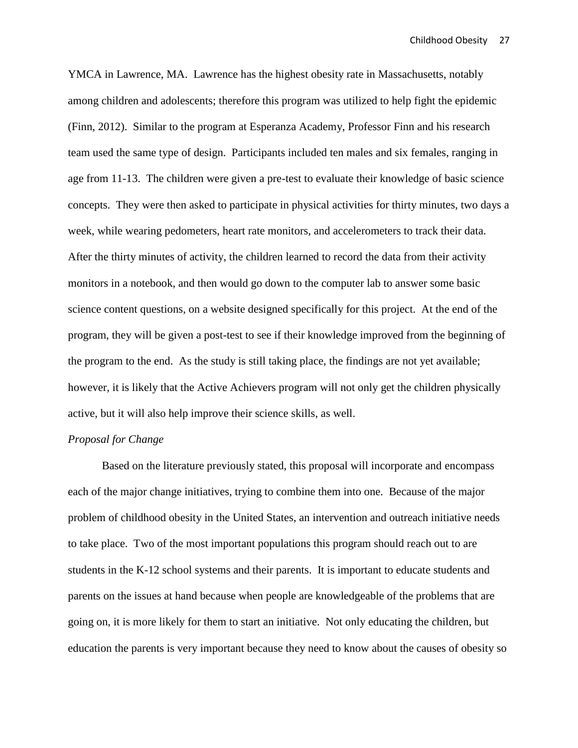YMCA in Lawrence, MA. Lawrence has the highest obesity rate in Massachusetts, notably among children and adolescents; therefore this program was utilized to help fight the epidemic (Finn, 2012). Similar to the program at Esperanza Academy, Professor Finn and his research team used the same type of design. Participants included ten males and six females, ranging in age from 11-13. The children were given a pre-test to evaluate their knowledge of basic science concepts. They were then asked to participate in physical activities for thirty minutes, two days a week, while wearing pedometers, heart rate monitors, and accelerometers to track their data. After the thirty minutes of activity, the children learned to record the data from their activity monitors in a notebook, and then would go down to the computer lab to answer some basic science content questions, on a website designed specifically for this project. At the end of the program, they will be given a post-test to see if their knowledge improved from the beginning of the program to the end. As the study is still taking place, the findings are not yet available; however, it is likely that the Active Achievers program will not only get the children physically active, but it will also help improve their science skills, as well.

#### *Proposal for Change*

Based on the literature previously stated, this proposal will incorporate and encompass each of the major change initiatives, trying to combine them into one. Because of the major problem of childhood obesity in the United States, an intervention and outreach initiative needs to take place. Two of the most important populations this program should reach out to are students in the K-12 school systems and their parents. It is important to educate students and parents on the issues at hand because when people are knowledgeable of the problems that are going on, it is more likely for them to start an initiative. Not only educating the children, but education the parents is very important because they need to know about the causes of obesity so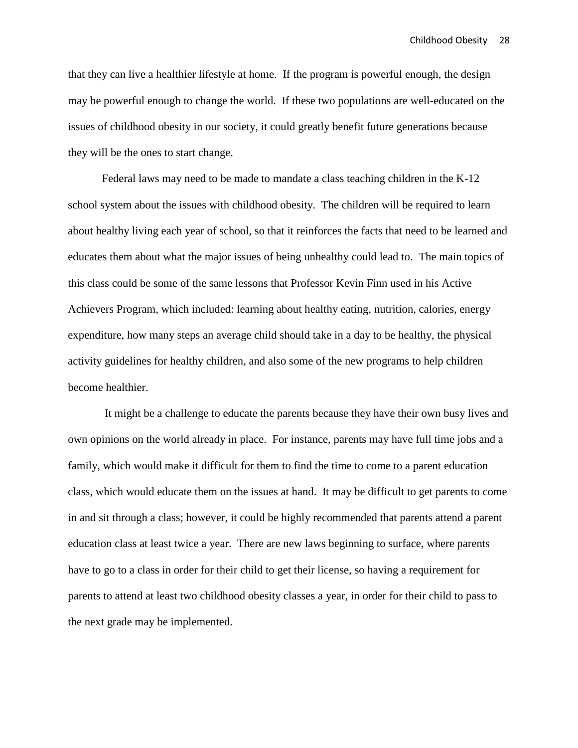that they can live a healthier lifestyle at home. If the program is powerful enough, the design may be powerful enough to change the world. If these two populations are well-educated on the issues of childhood obesity in our society, it could greatly benefit future generations because they will be the ones to start change.

Federal laws may need to be made to mandate a class teaching children in the K-12 school system about the issues with childhood obesity. The children will be required to learn about healthy living each year of school, so that it reinforces the facts that need to be learned and educates them about what the major issues of being unhealthy could lead to. The main topics of this class could be some of the same lessons that Professor Kevin Finn used in his Active Achievers Program, which included: learning about healthy eating, nutrition, calories, energy expenditure, how many steps an average child should take in a day to be healthy, the physical activity guidelines for healthy children, and also some of the new programs to help children become healthier.

It might be a challenge to educate the parents because they have their own busy lives and own opinions on the world already in place. For instance, parents may have full time jobs and a family, which would make it difficult for them to find the time to come to a parent education class, which would educate them on the issues at hand. It may be difficult to get parents to come in and sit through a class; however, it could be highly recommended that parents attend a parent education class at least twice a year. There are new laws beginning to surface, where parents have to go to a class in order for their child to get their license, so having a requirement for parents to attend at least two childhood obesity classes a year, in order for their child to pass to the next grade may be implemented.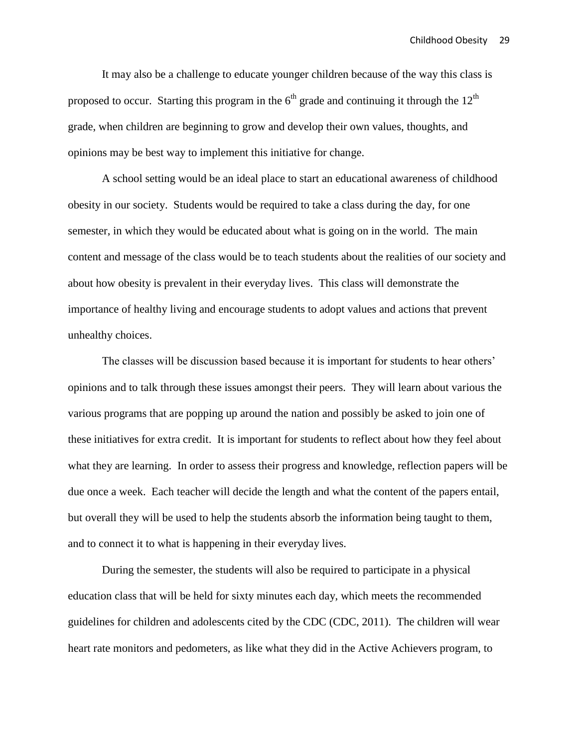It may also be a challenge to educate younger children because of the way this class is proposed to occur. Starting this program in the  $6<sup>th</sup>$  grade and continuing it through the  $12<sup>th</sup>$ grade, when children are beginning to grow and develop their own values, thoughts, and opinions may be best way to implement this initiative for change.

A school setting would be an ideal place to start an educational awareness of childhood obesity in our society. Students would be required to take a class during the day, for one semester, in which they would be educated about what is going on in the world. The main content and message of the class would be to teach students about the realities of our society and about how obesity is prevalent in their everyday lives. This class will demonstrate the importance of healthy living and encourage students to adopt values and actions that prevent unhealthy choices.

The classes will be discussion based because it is important for students to hear others' opinions and to talk through these issues amongst their peers. They will learn about various the various programs that are popping up around the nation and possibly be asked to join one of these initiatives for extra credit. It is important for students to reflect about how they feel about what they are learning. In order to assess their progress and knowledge, reflection papers will be due once a week. Each teacher will decide the length and what the content of the papers entail, but overall they will be used to help the students absorb the information being taught to them, and to connect it to what is happening in their everyday lives.

During the semester, the students will also be required to participate in a physical education class that will be held for sixty minutes each day, which meets the recommended guidelines for children and adolescents cited by the CDC (CDC, 2011). The children will wear heart rate monitors and pedometers, as like what they did in the Active Achievers program, to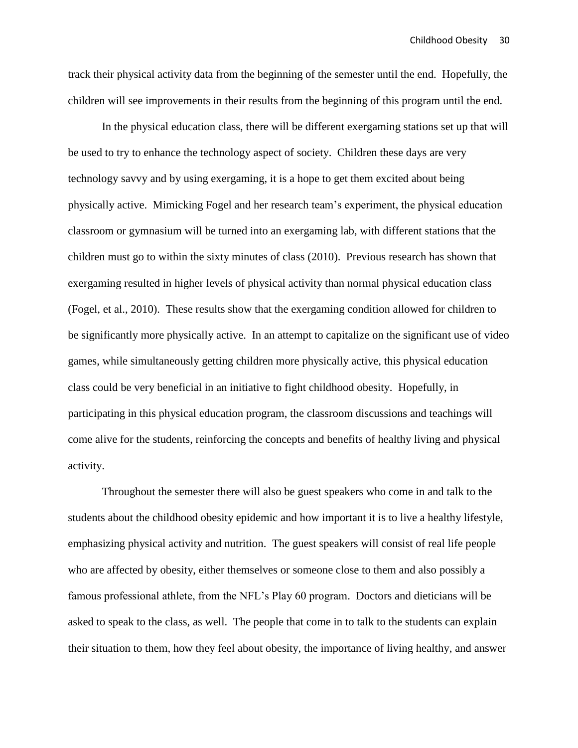track their physical activity data from the beginning of the semester until the end. Hopefully, the children will see improvements in their results from the beginning of this program until the end.

In the physical education class, there will be different exergaming stations set up that will be used to try to enhance the technology aspect of society. Children these days are very technology savvy and by using exergaming, it is a hope to get them excited about being physically active. Mimicking Fogel and her research team's experiment, the physical education classroom or gymnasium will be turned into an exergaming lab, with different stations that the children must go to within the sixty minutes of class (2010). Previous research has shown that exergaming resulted in higher levels of physical activity than normal physical education class (Fogel, et al., 2010). These results show that the exergaming condition allowed for children to be significantly more physically active. In an attempt to capitalize on the significant use of video games, while simultaneously getting children more physically active, this physical education class could be very beneficial in an initiative to fight childhood obesity. Hopefully, in participating in this physical education program, the classroom discussions and teachings will come alive for the students, reinforcing the concepts and benefits of healthy living and physical activity.

Throughout the semester there will also be guest speakers who come in and talk to the students about the childhood obesity epidemic and how important it is to live a healthy lifestyle, emphasizing physical activity and nutrition. The guest speakers will consist of real life people who are affected by obesity, either themselves or someone close to them and also possibly a famous professional athlete, from the NFL's Play 60 program. Doctors and dieticians will be asked to speak to the class, as well. The people that come in to talk to the students can explain their situation to them, how they feel about obesity, the importance of living healthy, and answer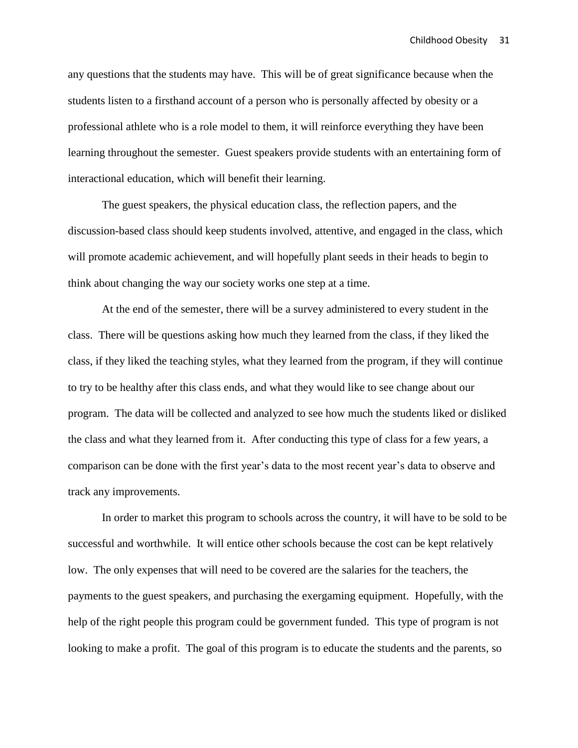any questions that the students may have. This will be of great significance because when the students listen to a firsthand account of a person who is personally affected by obesity or a professional athlete who is a role model to them, it will reinforce everything they have been learning throughout the semester. Guest speakers provide students with an entertaining form of interactional education, which will benefit their learning.

The guest speakers, the physical education class, the reflection papers, and the discussion-based class should keep students involved, attentive, and engaged in the class, which will promote academic achievement, and will hopefully plant seeds in their heads to begin to think about changing the way our society works one step at a time.

At the end of the semester, there will be a survey administered to every student in the class. There will be questions asking how much they learned from the class, if they liked the class, if they liked the teaching styles, what they learned from the program, if they will continue to try to be healthy after this class ends, and what they would like to see change about our program. The data will be collected and analyzed to see how much the students liked or disliked the class and what they learned from it. After conducting this type of class for a few years, a comparison can be done with the first year's data to the most recent year's data to observe and track any improvements.

In order to market this program to schools across the country, it will have to be sold to be successful and worthwhile. It will entice other schools because the cost can be kept relatively low. The only expenses that will need to be covered are the salaries for the teachers, the payments to the guest speakers, and purchasing the exergaming equipment. Hopefully, with the help of the right people this program could be government funded. This type of program is not looking to make a profit. The goal of this program is to educate the students and the parents, so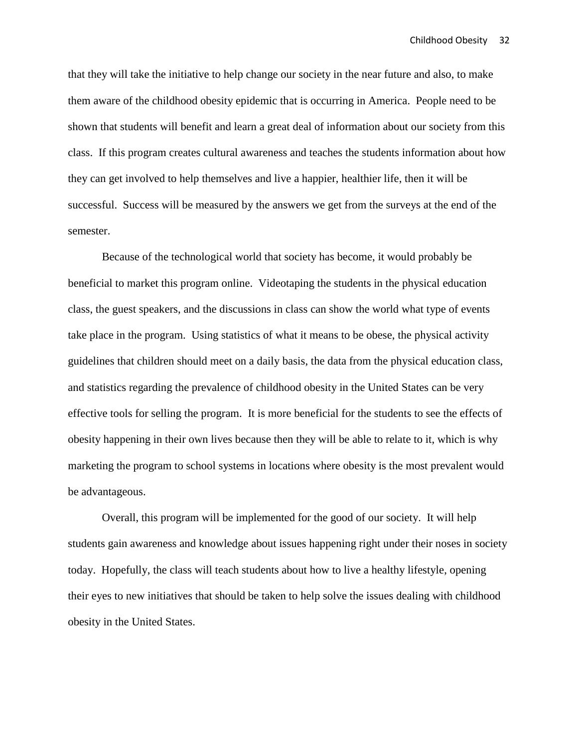that they will take the initiative to help change our society in the near future and also, to make them aware of the childhood obesity epidemic that is occurring in America. People need to be shown that students will benefit and learn a great deal of information about our society from this class. If this program creates cultural awareness and teaches the students information about how they can get involved to help themselves and live a happier, healthier life, then it will be successful. Success will be measured by the answers we get from the surveys at the end of the semester.

Because of the technological world that society has become, it would probably be beneficial to market this program online. Videotaping the students in the physical education class, the guest speakers, and the discussions in class can show the world what type of events take place in the program. Using statistics of what it means to be obese, the physical activity guidelines that children should meet on a daily basis, the data from the physical education class, and statistics regarding the prevalence of childhood obesity in the United States can be very effective tools for selling the program. It is more beneficial for the students to see the effects of obesity happening in their own lives because then they will be able to relate to it, which is why marketing the program to school systems in locations where obesity is the most prevalent would be advantageous.

Overall, this program will be implemented for the good of our society. It will help students gain awareness and knowledge about issues happening right under their noses in society today. Hopefully, the class will teach students about how to live a healthy lifestyle, opening their eyes to new initiatives that should be taken to help solve the issues dealing with childhood obesity in the United States.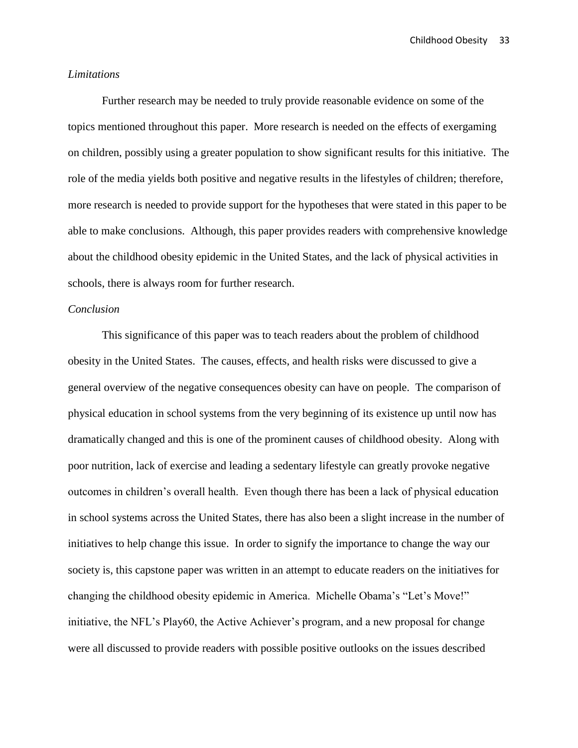Childhood Obesity 33

#### *Limitations*

Further research may be needed to truly provide reasonable evidence on some of the topics mentioned throughout this paper. More research is needed on the effects of exergaming on children, possibly using a greater population to show significant results for this initiative. The role of the media yields both positive and negative results in the lifestyles of children; therefore, more research is needed to provide support for the hypotheses that were stated in this paper to be able to make conclusions. Although, this paper provides readers with comprehensive knowledge about the childhood obesity epidemic in the United States, and the lack of physical activities in schools, there is always room for further research.

## *Conclusion*

This significance of this paper was to teach readers about the problem of childhood obesity in the United States. The causes, effects, and health risks were discussed to give a general overview of the negative consequences obesity can have on people. The comparison of physical education in school systems from the very beginning of its existence up until now has dramatically changed and this is one of the prominent causes of childhood obesity. Along with poor nutrition, lack of exercise and leading a sedentary lifestyle can greatly provoke negative outcomes in children's overall health. Even though there has been a lack of physical education in school systems across the United States, there has also been a slight increase in the number of initiatives to help change this issue. In order to signify the importance to change the way our society is, this capstone paper was written in an attempt to educate readers on the initiatives for changing the childhood obesity epidemic in America. Michelle Obama's "Let's Move!" initiative, the NFL's Play60, the Active Achiever's program, and a new proposal for change were all discussed to provide readers with possible positive outlooks on the issues described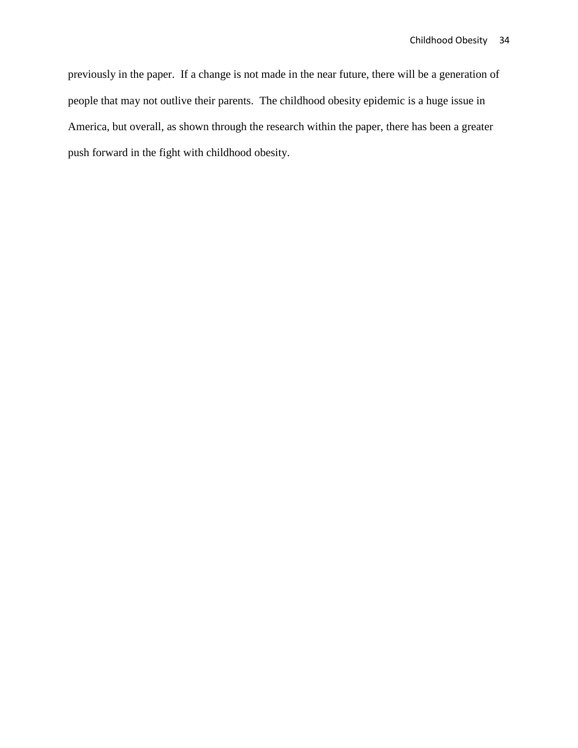previously in the paper. If a change is not made in the near future, there will be a generation of people that may not outlive their parents. The childhood obesity epidemic is a huge issue in America, but overall, as shown through the research within the paper, there has been a greater push forward in the fight with childhood obesity.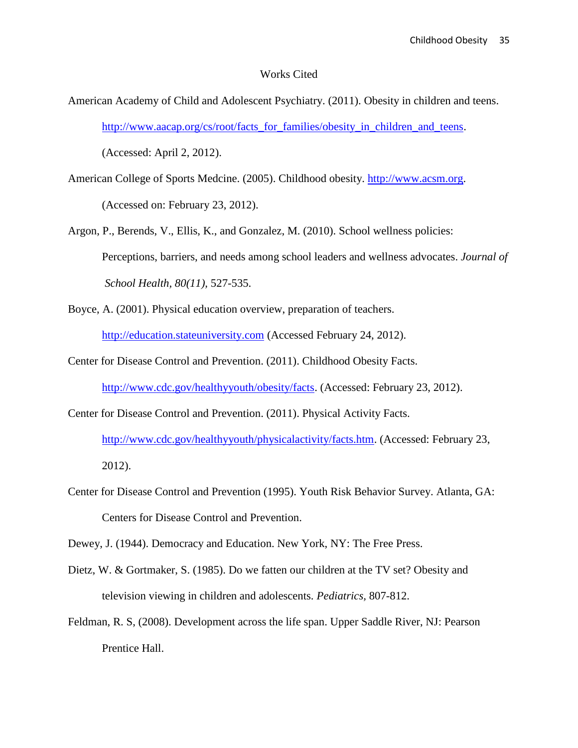#### Works Cited

- American Academy of Child and Adolescent Psychiatry. (2011). Obesity in children and teens. [http://www.aacap.org/cs/root/facts\\_for\\_families/obesity\\_in\\_children\\_and\\_teens.](http://www.aacap.org/cs/root/facts_for_families/obesity_in_children_and_teens) (Accessed: April 2, 2012).
- American College of Sports Medcine. (2005). Childhood obesity. [http://www.acsm.org.](http://www.acsm.org/) (Accessed on: February 23, 2012).
- Argon, P., Berends, V., Ellis, K., and Gonzalez, M. (2010). School wellness policies: Perceptions, barriers, and needs among school leaders and wellness advocates. *Journal of School Health, 80(11),* 527-535.
- Boyce, A. (2001). Physical education overview, preparation of teachers. [http://education.stateuniversity.com](http://education.stateuniversity.com/) (Accessed February 24, 2012).
- Center for Disease Control and Prevention. (2011). Childhood Obesity Facts.

[http://www.cdc.gov/healthyyouth/obesity/facts.](http://www.cdc.gov/healthyyouth/obesity/facts) (Accessed: February 23, 2012).

Center for Disease Control and Prevention. (2011). Physical Activity Facts.

[http://www.cdc.gov/healthyyouth/physicalactivity/facts.htm.](http://www.cdc.gov/healthyyouth/physicalactivity/facts.htm) (Accessed: February 23, 2012).

Center for Disease Control and Prevention (1995). Youth Risk Behavior Survey. Atlanta, GA: Centers for Disease Control and Prevention.

Dewey, J. (1944). Democracy and Education. New York, NY: The Free Press.

- Dietz, W. & Gortmaker, S. (1985). Do we fatten our children at the TV set? Obesity and television viewing in children and adolescents. *Pediatrics,* 807-812.
- Feldman, R. S, (2008). Development across the life span. Upper Saddle River, NJ: Pearson Prentice Hall.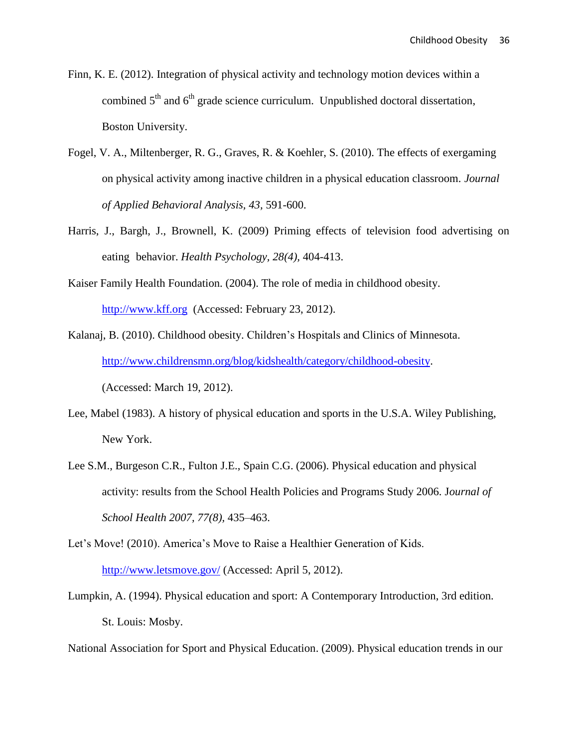- Finn, K. E. (2012). Integration of physical activity and technology motion devices within a combined  $5<sup>th</sup>$  and  $6<sup>th</sup>$  grade science curriculum. Unpublished doctoral dissertation, Boston University.
- Fogel, V. A., Miltenberger, R. G., Graves, R. & Koehler, S. (2010). The effects of exergaming on physical activity among inactive children in a physical education classroom. *Journal of Applied Behavioral Analysis, 43,* 591-600.
- Harris, J., Bargh, J., Brownell, K. (2009) Priming effects of television food advertising on eating behavior. *Health Psychology, 28(4),* 404-413.
- Kaiser Family Health Foundation. (2004). The role of media in childhood obesity. [http://www.kff.org](http://www.kff.org/) (Accessed: February 23, 2012).
- Kalanaj, B. (2010). Childhood obesity. Children's Hospitals and Clinics of Minnesota. [http://www.childrensmn.org/blog/kidshealth/category/childhood-obesity.](http://www.childrensmn.org/blog/kidshealth/category/childhood-obesity) (Accessed: March 19, 2012).
- Lee, Mabel (1983). A history of physical education and sports in the U.S.A. Wiley Publishing, New York.
- Lee S.M., Burgeson C.R., Fulton J.E., Spain C.G. (2006). Physical education and physical activity: results from the School Health Policies and Programs Study 2006. J*ournal of School Health 2007, 77(8),* 435–463.
- Let's Move! (2010). America's Move to Raise a Healthier Generation of Kids. <http://www.letsmove.gov/> (Accessed: April 5, 2012).
- Lumpkin, A. (1994). Physical education and sport: A Contemporary Introduction, 3rd edition. St. Louis: Mosby.

National Association for Sport and Physical Education. (2009). Physical education trends in our